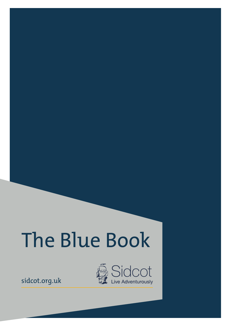## The Blue Book



sidcot.org.uk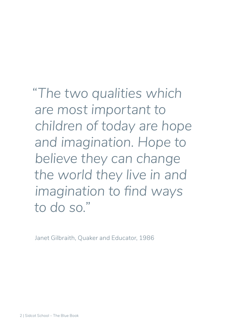*"The two qualities which are most important to children of today are hope and imagination. Hope to believe they can change the world they live in and imagination to find ways to do so."*

Janet Gilbraith, Quaker and Educator, 1986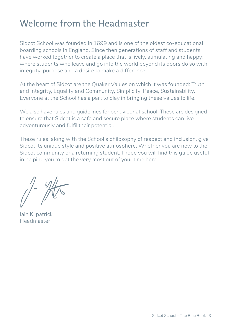### Welcome from the Headmaster

Sidcot School was founded in 1699 and is one of the oldest co-educational boarding schools in England. Since then generations of staff and students have worked together to create a place that is lively, stimulating and happy; where students who leave and go into the world beyond its doors do so with integrity, purpose and a desire to make a difference.

At the heart of Sidcot are the Quaker Values on which it was founded: Truth and Integrity, Equality and Community, Simplicity, Peace, Sustainability. Everyone at the School has a part to play in bringing these values to life.

We also have rules and guidelines for behaviour at school. These are designed to ensure that Sidcot is a safe and secure place where students can live adventurously and fulfil their potential.

These rules, along with the School's philosophy of respect and inclusion, give Sidcot its unique style and positive atmosphere. Whether you are new to the Sidcot community or a returning student, I hope you will find this guide useful in helping you to get the very most out of your time here.

Iain Kilpatrick Headmaster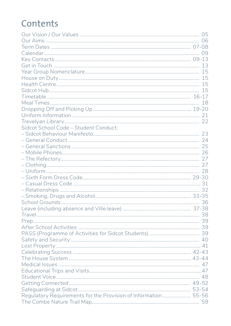### Contents

| Sidcot School Code - Student Conduct: |  |
|---------------------------------------|--|
|                                       |  |
|                                       |  |
|                                       |  |
|                                       |  |
|                                       |  |
|                                       |  |
|                                       |  |
|                                       |  |
|                                       |  |
|                                       |  |
|                                       |  |
|                                       |  |
|                                       |  |
|                                       |  |
|                                       |  |
|                                       |  |
|                                       |  |
|                                       |  |
|                                       |  |
|                                       |  |
|                                       |  |
|                                       |  |
|                                       |  |
|                                       |  |
|                                       |  |
|                                       |  |
|                                       |  |
|                                       |  |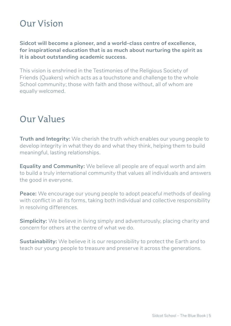### Our Vision

**Sidcot will become a pioneer, and a world-class centre of excellence, for inspirational education that is as much about nurturing the spirit as it is about outstanding academic success.**

This vision is enshrined in the Testimonies of the Religious Society of Friends (Quakers) which acts as a touchstone and challenge to the whole School community; those with faith and those without, all of whom are equally welcomed.

### Our Values

**Truth and Integrity:** We cherish the truth which enables our young people to develop integrity in what they do and what they think, helping them to build meaningful, lasting relationships.

**Equality and Community:** We believe all people are of equal worth and aim to build a truly international community that values all individuals and answers the good in everyone.

**Peace:** We encourage our young people to adopt peaceful methods of dealing with conflict in all its forms, taking both individual and collective responsibility in resolving differences.

**Simplicity:** We believe in living simply and adventurously, placing charity and concern for others at the centre of what we do.

**Sustainability:** We believe it is our responsibility to protect the Earth and to teach our young people to treasure and preserve it across the generations.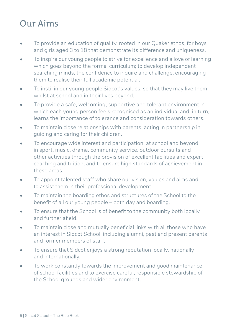### Our Aims

- To provide an education of quality, rooted in our Quaker ethos, for boys and girls aged 3 to 18 that demonstrate its difference and uniqueness.
- To inspire our young people to strive for excellence and a love of learning which goes beyond the formal curriculum; to develop independent searching minds, the confidence to inquire and challenge, encouraging them to realise their full academic potential.
- To instil in our young people Sidcot's values, so that they may live them whilst at school and in their lives beyond.
- To provide a safe, welcoming, supportive and tolerant environment in which each young person feels recognised as an individual and, in turn, learns the importance of tolerance and consideration towards others.
- To maintain close relationships with parents, acting in partnership in guiding and caring for their children.
- To encourage wide interest and participation, at school and beyond, in sport, music, drama, community service, outdoor pursuits and other activities through the provision of excellent facilities and expert coaching and tuition, and to ensure high standards of achievement in these areas.
- To appoint talented staff who share our vision, values and aims and to assist them in their professional development.
- To maintain the boarding ethos and structures of the School to the benefit of all our young people – both day and boarding.
- To ensure that the School is of benefit to the community both locally and further afield.
- To maintain close and mutually beneficial links with all those who have an interest in Sidcot School, including alumni, past and present parents and former members of staff.
- To ensure that Sidcot enjoys a strong reputation locally, nationally and internationally.
- To work constantly towards the improvement and good maintenance of school facilities and to exercise careful, responsible stewardship of the School grounds and wider environment.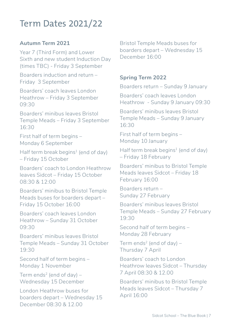### Term Dates 2021/22

#### **Autumn Term 2021**

Year 7 (Third Form) and Lower Sixth and new student Induction Day (times TBC) - Friday 3 September

Boarders induction and return – Friday 3 September

Boarders' coach leaves London Heathrow – Friday 3 September 09:30

Boarders' minibus leaves Bristol Temple Meads – Friday 3 September 16:30

First half of term begins – Monday 6 September

Half term break begins<sup>1</sup> (end of day) – Friday 15 October

Boarders' coach to London Heathrow leaves Sidcot – Friday 15 October 08:30 & 12:00

Boarders' minibus to Bristol Temple Meads buses for boarders depart – Friday 15 October 16:00

Boarders' coach leaves London Heathrow – Sunday 31 October 09:30

Boarders' minibus leaves Bristol Temple Meads – Sunday 31 October 19:30

Second half of term begins – Monday 1 November

Term ends<sup>2</sup> (end of day) -Wednesday 15 December

London Heathrow buses for boarders depart – Wednesday 15 December 08:30 & 12.00

Bristol Temple Meads buses for boarders depart – Wednesday 15 December 16:00

#### **Spring Term 2022**

Boarders return – Sunday 9 January Boarders' coach leaves London Heathrow - Sunday 9 January 09:30

Boarders' minibus leaves Bristol Temple Meads – Sunday 9 January 16:30

First half of term begins – Monday 10 January

Half term break begins<sup>1</sup> (end of day) – Friday 18 February

Boarders' minibus to Bristol Temple Meads leaves Sidcot – Friday 18 February 16:00

Boarders return – Sunday 27 February

Boarders' minibus leaves Bristol Temple Meads – Sunday 27 February 19:30

Second half of term begins – Monday 28 February

Term ends<sup>2</sup> (end of day)  $-$ Thursday 7 April

Boarders' coach to London Heathrow leaves Sidcot – Thursday 7 April 08:30 & 12.00

Boarders' minibus to Bristol Temple Meads leaves Sidcot – Thursday 7 April 16:00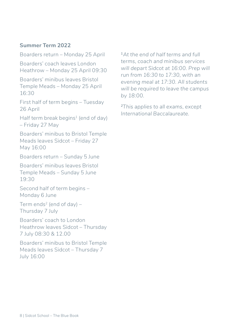#### **Summer Term 2022**

Boarders return – Monday 25 April

Boarders' coach leaves London Heathrow – Monday 25 April 09:30

Boarders' minibus leaves Bristol Temple Meads – Monday 25 April 16:30

First half of term begins – Tuesday 26 April

Half term break begins<sup>1</sup> (end of day) – Friday 27 May

Boarders' minibus to Bristol Temple Meads leaves Sidcot – Friday 27 May 16:00

Boarders return – Sunday 5 June

Boarders' minibus leaves Bristol Temple Meads – Sunday 5 June 19:30

Second half of term begins – Monday 6 June

Term ends<sup>2</sup> (end of day) -Thursday 7 July

Boarders' coach to London Heathrow leaves Sidcot – Thursday 7 July 08:30 & 12.00

Boarders' minibus to Bristol Temple Meads leaves Sidcot – Thursday 7 July 16:00

*<sup>1</sup>At the end of half terms and full terms, coach and minibus services will depart Sidcot at 16:00. Prep will run from 16:30 to 17:30, with an evening meal at 17:30. All students will be required to leave the campus by 18:00.*

*<sup>2</sup>This applies to all exams, except International Baccalaureate.*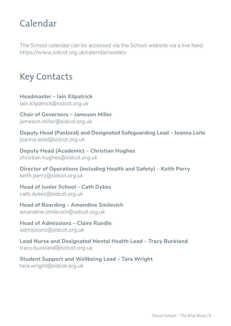### Calendar

The School calendar can be accessed via the School website via a live feed: https://www.sidcot.org.uk/calendar/weekly

### Key Contacts

**Headmaster – Iain Kilpatrick** iain.kilpatrick@sidcot.org.uk

**Chair of Governors – Jameson Miller** jameson.miller@sidcot.org.uk

**Deputy Head (Pastoral) and Designated Safeguarding Lead – Joanna Leite** joanna.leite@sidcot.org.uk

**Deputy Head (Academic) – Christian Hughes** christian.hughes@sidcot.org.uk

**Director of Operations (including Health and Safety) – Keith Perry** keith.perry@sidcot.org.uk

**Head of Junior School – Cath Dykes**  cath.dykes@sidcot.org.uk

**Head of Boarding – Amandine Smilevich** amandine.smilevich@sidcot.org.uk

**Head of Admissions – Claire Rundle** admissions@sidcot.org.uk

**Lead Nurse and Designated Mental Health Lead – Tracy Buckland** tracy.buckland@sidcot.org.uk

**Student Support and Wellbeing Lead – Tara Wright** tara.wright@sidcot.org.uk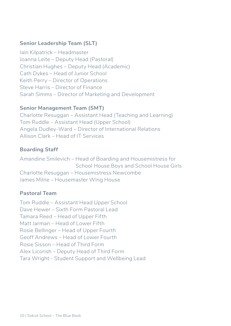#### **Senior Leadership Team (SLT)**

Iain Kilpatrick – Headmaster Joanna Leite – Deputy Head (Pastoral) Christian Hughes – Deputy Head (Academic) Cath Dykes – Head of Junior School Keith Perry – Director of Operations Steve Harris – Director of Finance Sarah Simms – Director of Marketing and Development

#### **Senior Management Team (SMT)**

Charlotte Resuggan – Assistant Head (Teaching and Learning) Tom Ruddle – Assistant Head (Upper School) Angela Dudley-Ward – Director of International Relations Allison Clark – Head of IT Services

#### **Boarding Staff**

Amandine Smilevich – Head of Boarding and Housemistress for School House Boys and School House Girls Charlotte Resuggan – Housemistress Newcombe James Milne – Housemaster Wing House

#### **Pastoral Team**

Tom Ruddle – Assistant Head Upper School Dave Hewer – Sixth Form Pastoral Lead Tamara Reed – Head of Upper Fifth Matt Jarman – Head of Lower Fifth Rosie Bellinger – Head of Upper Fourth Geoff Andrews – Head of Lower Fourth Rosie Sisson – Head of Third Form Alex Licorish – Deputy Head of Third Form Tara Wright - Student Support and Wellbeing Lead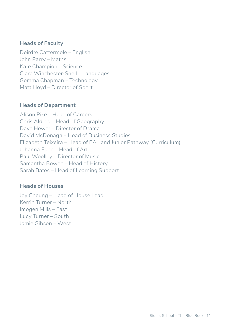#### **Heads of Faculty**

Deirdre Cattermole – English John Parry – Maths Kate Champion – Science Clare Winchester-Snell – Languages Gemma Chapman – Technology Matt Lloyd – Director of Sport

#### **Heads of Department**

Alison Pike – Head of Careers Chris Aldred – Head of Geography Dave Hewer – Director of Drama David McDonagh – Head of Business Studies Elizabeth Teixeira – Head of EAL and Junior Pathway (Curriculum) Johanna Egan – Head of Art Paul Woolley – Director of Music Samantha Bowen – Head of History Sarah Bates – Head of Learning Support

#### **Heads of Houses**

Joy Cheung – Head of House Lead Kerrin Turner – North Imogen Mills – East Lucy Turner – South Jamie Gibson – West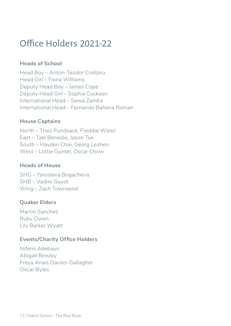### Office Holders 2021-22

#### **Heads of School**

Head Boy – Anton-Teodor Croitoru Head Girl – Fiona Williams Deputy Head Boy – James Cope Deputy Head Girl – Sophia Cuckson International Head – Sewa Zamba International Head – Fernando Bahena Roman

#### **House Captains**

North – Theo Pundsack, Freddie Wiesli East – Tale Benedix, Jason Tse South – Hayden Choi, Georg Lezhen West – Lottie Gunter, Oscar Chow

#### **Heads of House**

SHG – Yaroslava Bogacheva SHB – Vadim Guyot Wing – Zach Townsend

#### **Quaker Elders**

Martin Sanchez Ruby Owen Lily Barker Wyatt

#### **Events/Charity Office Holders**

Nifemi Adebayo Abigail Bewley Freya Anais Davies-Gallagher Oscar Byles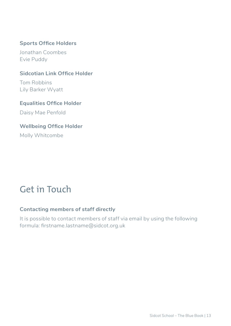#### **Sports Office Holders**

Jonathan Coombes Evie Puddy

### **Sidcotian Link Office Holder**

Tom Robbins Lily Barker Wyatt

**Equalities Office Holder** Daisy Mae Penfold

#### **Wellbeing Office Holder**

Molly Whitcombe

### Get in Touch

#### **Contacting members of staff directly**

It is possible to contact members of staff via email by using the following formula: [firstname.lastname@sidcot.org.uk](mailto:firstname.lastname@sidcot.org.uk)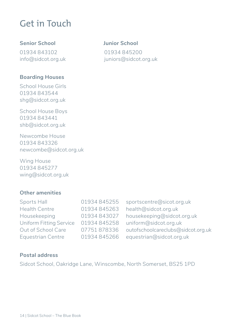### Get in Touch

01934 843102 01934 845200

#### **Boarding Houses**

School House Girls 01934 843544 shg@sidcot.org.uk

School House Boys 01934 843441 shb@sidcot.org.uk

Newcombe House 01934 843326 newcombe@sidcot.org.uk

Wing House 01934 845277 wing@sidcot.org.uk

#### **Other amenities**

Health Centre 01934 845263 health@sidcot.org.uk

Sports Hall 01934 845255 sportscentre@sicot.org.uk Housekeeping 01934 843027 housekeeping@sidcot.org.uk Uniform Fitting Service 01934 845258 uniform@sidcot.org.uk Out of School Care 07751 878336 outofschoolcareclubs@sidcot.org.uk Equestrian Centre 01934 845266 equestrian@sidcot.org.uk

#### **Postal address**

Sidcot School, Oakridge Lane, Winscombe, North Somerset, BS25 1PD

#### **Senior School Junior School**

info@sidcot.org.uk iuniors@sidcot.org.uk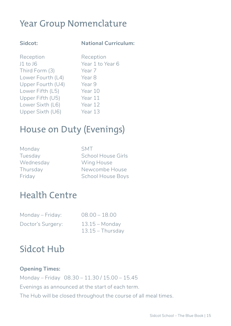### Year Group Nomenclature

| Sidcot:             | <b>National Curriculum:</b> |
|---------------------|-----------------------------|
| Reception           | Reception                   |
| J1 to J6            | Year 1 to Year 6            |
| Third Form (3)      | Year 7                      |
| Lower Fourth (L4)   | Year 8                      |
| Upper Fourth $(U4)$ | Year 9                      |
| Lower Fifth (L5)    | Year 10                     |
| Upper Fifth $(US)$  | Year 11                     |
| Lower Sixth (L6)    | Year 12                     |
| Upper Sixth (U6)    | Year 13                     |

### House on Duty (Evenings)

| Monday    |
|-----------|
| Tuesday   |
| Wednesday |
| Thursday  |
| Friday    |

SMT School House Girls Wing House Newcombe House School House Boys

### Health Centre

| Monday - Friday:  | $08.00 - 18.00$    |
|-------------------|--------------------|
| Doctor's Surgery: | $13.15 - Monday$   |
|                   | $13.15 - Thursday$ |

### Sidcot Hub

### **Opening Times:** Monday – Friday 08.30 – 11.30 / 15.00 – 15.45 Evenings as announced at the start of each term. The Hub will be closed throughout the course of all meal times.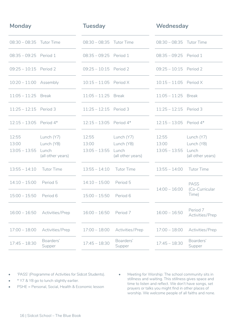| Monday                   |                            | <b>Tuesday</b>           |                            | Wednesday                |                             |
|--------------------------|----------------------------|--------------------------|----------------------------|--------------------------|-----------------------------|
| 08:30 - 08:35 Tutor Time |                            | 08:30 - 08:35 Tutor Time |                            | 08:30 - 08:35 Tutor Time |                             |
| $08:35 - 09:25$ Period 1 |                            | $08:35 - 09:25$ Period 1 |                            | $08:35 - 09:25$ Period 1 |                             |
| $09:25 - 10:15$ Period 2 |                            | $09:25 - 10:15$ Period 2 |                            | $09:25 - 10:15$ Period 2 |                             |
| 10:20 - 11:00 Assembly   |                            | $10:15 - 11:05$ Period X |                            | $10:15 - 11:05$ Period X |                             |
| $11:05 - 11:25$ Break    |                            | $11:05 - 11:25$ Break    |                            | $11:05 - 11:25$ Break    |                             |
| $11:25 - 12:15$ Period 3 |                            | 11:25 - 12:15 Period 3   |                            | $11:25 - 12:15$ Period 3 |                             |
| 12:15 - 13:05 Period 4*  |                            | 12:15 - 13:05 Period 4*  |                            | 12:15 - 13:05 Period 4*  |                             |
| 12:55                    | Lunch (Y7)                 | 12:55                    | Lunch (Y7)                 | 12:55                    | Lunch (Y7)                  |
| 13:00                    | Lunch (Y8)                 | 13:00                    | Lunch (Y8)                 | 13:00                    | Lunch (Y8)                  |
| $13:05 - 13:55$          | Lunch<br>(all other years) | $13:05 - 13:55$          | Lunch<br>(all other years) | $13:05 - 13:55$          | Lunch<br>(all other years)  |
| $13:55 - 14:10$          | <b>Tutor Time</b>          | $13:55 - 14:10$          | <b>Tutor Time</b>          | $13:55 - 14:00$          | <b>Tutor Time</b>           |
| $14:10 - 15:00$          | Period 5                   | $14:10 - 15:00$          | Period 5                   |                          | PASS<br>(Co-Curricular      |
| $15:00 - 15:50$          | Period 6                   | $15:00 - 15:50$          | Period 6                   | $14:00 - 16:00$          | Time)                       |
| $16:00 - 16:50$          | Activities/Prep            | $16:00 - 16:50$          | Period 7                   | $16:00 - 16:50$          | Period 7<br>Activities/Prep |
| $17:00 - 18:00$          | Activities/Prep            | $17:00 - 18:00$          | Activities/Prep            | $17:00 - 18:00$          | Activities/Prep             |
| $17:45 - 18:30$          | Boarders'<br>Supper        | $17:45 - 18:30$          | Boarders'<br>Supper        | $17:45 - 18:30$          | Boarders'<br>Supper         |

- 'PASS' (Programme of Activities for Sidcot Students).
- \* Y7 & Y8 go to lunch slightly earlier.
- PSHE = Personal, Social, Health & Economic lesson
- Meeting for Worship: The school community sits in stillness and waiting. This stillness gives space and time to listen and reflect. We don't have songs, set prayers or talks you might find in other places of worship. We welcome people of all faiths and none.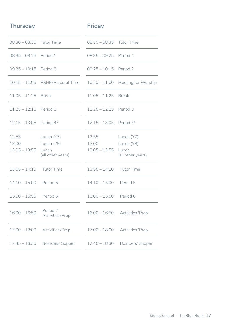| <b>Thursday</b>                   |                                                        | Friday                            |                                                        |
|-----------------------------------|--------------------------------------------------------|-----------------------------------|--------------------------------------------------------|
| $08:30 - 08:35$                   | <b>Tutor Time</b>                                      | 08:30 - 08:35 Tutor Time          |                                                        |
| $08:35 - 09:25$                   | Period 1                                               | $08:35 - 09:25$                   | Period 1                                               |
| $09:25 - 10:15$ Period 2          |                                                        | $09:25 - 10:15$                   | Period 2                                               |
|                                   | 10:15 - 11:05 PSHE/Pastoral Time                       | $10:20 - 11:00$                   | Meeting for Worship                                    |
| $11:05 - 11:25$                   | <b>Break</b>                                           | $11:05 - 11:25$                   | <b>Break</b>                                           |
| $11:25 - 12:15$                   | Period 3                                               | $11:25 - 12:15$ Period 3          |                                                        |
| $12:15 - 13:05$ Period $4*$       |                                                        | 12:15 - 13:05 Period 4*           |                                                        |
| 12:55<br>13:00<br>$13:05 - 13:55$ | Lunch (Y7)<br>Lunch (Y8)<br>Lunch<br>(all other years) | 12:55<br>13:00<br>$13:05 - 13:55$ | Lunch (Y7)<br>Lunch (Y8)<br>Lunch<br>(all other years) |
| $13:55 - 14:10$                   | <b>Tutor Time</b>                                      | $13:55 - 14:10$                   | <b>Tutor Time</b>                                      |
| $14:10 - 15:00$                   | Period 5                                               | $14:10 - 15:00$                   | Period 5                                               |
| $15:00 - 15:50$                   | Period 6                                               | $15:00 - 15:50$                   | Period 6                                               |
| $16:00 - 16:50$                   | Period 7<br>Activities/Prep                            | $16:00 - 16:50$                   | Activities/Prep                                        |
| $17:00 - 18:00$                   | Activities/Prep                                        | 17:00 - 18:00                     | Activities/Prep                                        |
| $17:45 - 18:30$                   | Boarders' Supper                                       | $17:45 - 18:30$                   | Boarders' Supper                                       |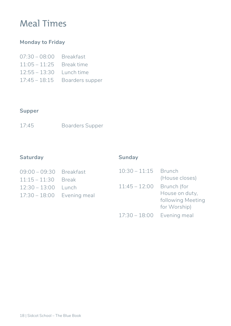### Meal Times

### **Monday to Friday**

| $07:30 - 08:00$ Breakfast  |                                 |
|----------------------------|---------------------------------|
| $11:05 - 11:25$ Break time |                                 |
| $12:55 - 13:30$ lunch time |                                 |
|                            | $17:45 - 18:15$ Boarders supper |

### **Supper**

### **Saturday**

### **Sunday**

| 09:00 - 09:30 Breakfast<br>$11:15 - 11:30$ Break      | $10:30 - 11:15$ Brunch      | (House closes)                                      |
|-------------------------------------------------------|-----------------------------|-----------------------------------------------------|
| $12:30 - 13:00$ Lunch<br>$17:30 - 18:00$ Evening meal | $11:45 - 12:00$ Brunch (for | House on duty,<br>following Meeting<br>for Worship) |
|                                                       | 17:30 - 18:00 Evening meal  |                                                     |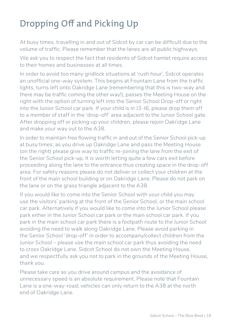### Dropping Off and Picking Up

At busy times, travelling in and out of Sidcot by car can be difficult due to the volume of traffic. Please remember that the lanes are all public highways.

We ask you to respect the fact that residents of Sidcot hamlet require access to their homes and businesses at all times.

In order to avoid too many gridlock situations at 'rush hour', Sidcot operates an unofficial one-way system. This begins at Fountain Lane from the traffic lights, turns left onto Oakridge Lane (remembering that this is two-way and there may be traffic coming the other way!), passes the Meeting House on the right with the option of turning left into the Senior School Drop-off or right into the Junior School car park. If your child is in J3-J6, please drop them off to a member of staff in the 'drop-off' area adjacent to the Junior School gate. After dropping off or picking up your children, please rejoin Oakridge Lane and make your way out to the A38.

In order to maintain free flowing traffic in and out of the Senior School pick-up at busy times; as you drive up Oakridge Lane and pass the Meeting House (on the right) please give way to traffic re-joining the lane from the exit of the Senior School pick-up. It is worth letting quite a few cars exit before proceeding along the lane to the entrance thus creating space in the drop-off area. For safety reasons please do not deliver or collect your children at the front of the main school building or on Oakridge Lane. Please do not park on the lane or on the grass triangle adjacent to the A38.

If you would like to come into the Senior School with your child you may use the visitors' parking at the front of the Senior School, or the main school car park. Alternatively if you would like to come into the Junior School please park either in the Junior School car park or the main school car park. If you park in the main school car park there is a footpath route to the Junior School avoiding the need to walk along Oakridge Lane. Please avoid parking in the Senior School 'drop-off' in order to accompany/collect children from the Junior School – please use the main school car park thus avoiding the need to cross Oakridge Lane. Sidcot School do not own the Meeting House, and we respectfully ask you not to park in the grounds of the Meeting House, thank you.

Please take care as you drive around campus and the avoidance of unnecessary speed is an absolute requirement. Please note that Fountain Lane is a one-way-road; vehicles can only return to the A38 at the north end of Oakridge Lane.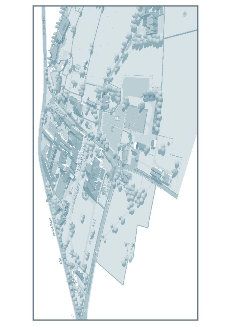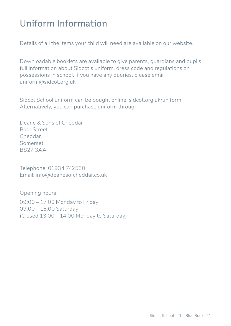### Uniform Information

Details of all the items your child will need are available on our website.

Downloadable booklets are available to give parents, guardians and pupils full information about Sidcot's uniform, dress code and regulations on possessions in school. If you have any queries, please email uniform@sidcot.org.uk

Sidcot School uniform can be bought online: sidcot.org.uk/uniform. Alternatively, you can purchase uniform through:

Deane & Sons of Cheddar Bath Street Cheddar Somerset BS27 3AA

Telephone: 01934 742530 Email: info@deanesofcheddar.co.uk

Opening hours: 09:00 – 17:00 Monday to Friday 09:00 – 16:00 Saturday (Closed 13:00 – 14:00 Monday to Saturday)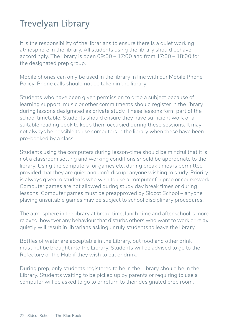### Trevelyan Library

It is the responsibility of the librarians to ensure there is a quiet working atmosphere in the library. All students using the library should behave accordingly. The library is open 09:00 – 17:00 and from 17:00 – 18:00 for the designated prep group.

Mobile phones can only be used in the library in line with our Mobile Phone Policy. Phone calls should not be taken in the library.

Students who have been given permission to drop a subject because of learning support, music or other commitments should register in the library during lessons designated as private study. These lessons form part of the school timetable. Students should ensure they have sufficient work or a suitable reading book to keep them occupied during these sessions. It may not always be possible to use computers in the library when these have been pre-booked by a class.

Students using the computers during lesson-time should be mindful that it is not a classroom setting and working conditions should be appropriate to the library. Using the computers for games etc. during break times is permitted provided that they are quiet and don't disrupt anyone wishing to study. Priority is always given to students who wish to use a computer for prep or coursework. Computer games are not allowed during study day break times or during lessons. Computer games must be preapproved by Sidcot School – anyone playing unsuitable games may be subject to school disciplinary procedures.

The atmosphere in the library at break-time, lunch-time and after school is more relaxed; however any behaviour that disturbs others who want to work or relax quietly will result in librarians asking unruly students to leave the library.

Bottles of water are acceptable in the Library, but food and other drink must not be brought into the Library. Students will be advised to go to the Refectory or the Hub if they wish to eat or drink.

During prep, only students registered to be in the Library should be in the Library. Students waiting to be picked up by parents or requiring to use a computer will be asked to go to or return to their designated prep room.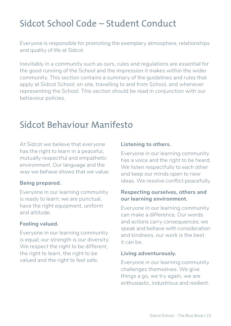### Sidcot School Code – Student Conduct

Everyone is responsible for promoting the exemplary atmosphere, relationships and quality of life at Sidcot.

Inevitably in a community such as ours, rules and regulations are essential for the good running of the School and the impression it makes within the wider community. This section contains a summary of the guidelines and rules that apply at Sidcot School; on site, travelling to and from School, and whenever representing the School. This section should be read in conjunction with our behaviour policies.

### Sidcot Behaviour Manifesto

At Sidcot we believe that everyone has the right to learn in a peaceful, mutually respectful and empathetic environment. Our language and the way we behave shows that we value:

#### **Being prepared.**

Everyone in our learning community is ready to learn; we are punctual, have the right equipment, uniform and attitude.

#### **Feeling valued.**

Everyone in our learning community is equal; our strength is our diversity. We respect the right to be different, the right to learn, the right to be valued and the right to feel safe.

#### **Listening to others.**

Everyone in our learning community has a voice and the right to be heard. We listen respectfully to each other and keep our minds open to new ideas. We resolve conflict peacefully.

### **Respecting ourselves, others and our learning environment.**

Everyone in our learning community can make a difference. Our words and actions carry consequences; we speak and behave with consideration and kindness, our work is the best it can be.

#### **Living adventurously.**

Everyone in our learning community challenges themselves. We give things a go, we try again, we are enthusiastic, industrious and resilient.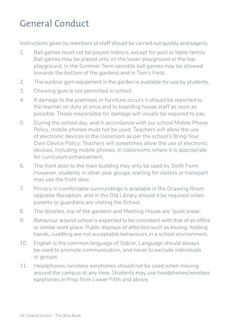### General Conduct

Instructions given by members of staff should be carried out quickly and eagerly.

- 1. Ball games must not be played indoors, except for pool or table-tennis. Ball games may be played only on the lower playground or the top playground. In the Summer Term sensible ball games may be allowed towards the bottom of the gardens and in Tom's Field.
- 2. The outdoor gym equipment in the garden is available for use by students.
- 3. Chewing gum is not permitted in school.
- 4. If damage to the premises or furniture occurs it should be reported to the teacher on duty at once and to boarding house staff as soon as possible. Those responsible for damage will usually be required to pay.
- 5. During the school day, and in accordance with our school Mobile Phone Policy, mobile phones must not be used. Teachers will allow the use of electronic devices in the classroom as per the school's Bring Your Own Device Policy. Teachers will sometimes allow the use of electronic devices, including mobile phones, in classrooms where it is appropriate for curriculum enhancement.
- 6. The front door to the main building may only be used by Sixth Form. However, students in other year groups waiting for visitors or transport may use the front door.
- 7. Privacy in comfortable surroundings is available in the Drawing Room opposite Reception, and in the Old Library should it be required when parents or guardians are visiting the School.
- 8. The libraries, top of the gardens and Meeting House are 'quiet areas'.
- 9. Behaviour around school is expected to be consistent with that of an office or similar work place. Public displays of affection such as kissing, holding hands, cuddling are not acceptable behaviours in a school environment.
- 10. English is the common language of Sidcot. Language should always be used to promote communication, and never to exclude individuals or groups.
- 11. Headphones /wireless earphones should not be used when moving around the campus at any time. Students may use headphones/wireless earphones in Prep from Lower Fifth and above.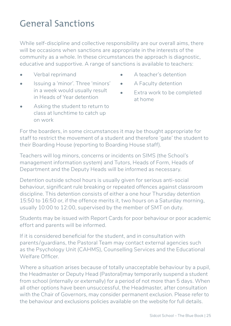### General Sanctions

While self-discipline and collective responsibility are our overall aims, there will be occasions when sanctions are appropriate in the interests of the community as a whole. In these circumstances the approach is diagnostic, educative and supportive. A range of sanctions is available to teachers:

- Verbal reprimand
- Issuing a 'minor'. Three 'minors' in a week would usually result in Heads of Year detention
- Asking the student to return to class at lunchtime to catch up on work
- A teacher's detention
- A Faculty detention
- Extra work to be completed at home

For the boarders, in some circumstances it may be thought appropriate for staff to restrict the movement of a student and therefore 'gate' the student to their Boarding House (reporting to Boarding House staff).

Teachers will log minors, concerns or incidents on SIMS (the School's management information system) and Tutors, Heads of Form, Heads of Department and the Deputy Heads will be informed as necessary.

Detention outside school hours is usually given for serious anti-social behaviour, significant rule breaking or repeated offences against classroom discipline. This detention consists of either a one hour Thursday detention 15:50 to 16:50 or, if the offence merits it, two hours on a Saturday morning, usually 10:00 to 12:00, supervised by the member of SMT on duty.

Students may be issued with Report Cards for poor behaviour or poor academic effort and parents will be informed.

If it is considered beneficial for the student, and in consultation with parents/guardians, the Pastoral Team may contact external agencies such as the Psychology Unit (CAHMS), Counselling Services and the Educational Welfare Officer.

Where a situation arises because of totally unacceptable behaviour by a pupil. the Headmaster or Deputy Head (Pastoral)may temporarily suspend a student from school (internally or externally) for a period of not more than 5 days. When all other options have been unsuccessful, the Headmaster, after consultation with the Chair of Governors, may consider permanent exclusion. Please refer to the behaviour and exclusions policies available on the website for full details.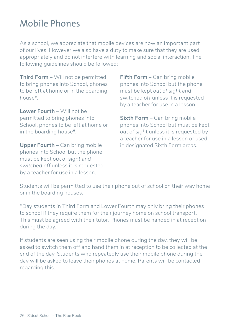### Mobile Phones

As a school, we appreciate that mobile devices are now an important part of our lives. However we also have a duty to make sure that they are used appropriately and do not interfere with learning and social interaction. The following guidelines should be followed:

**Third Form** – Will not be permitted to bring phones into School, phones to be left at home or in the boarding house\*.

**Lower Fourth** – Will not be permitted to bring phones into School, phones to be left at home or in the boarding house\*.

**Upper Fourth** – Can bring mobile phones into School but the phone must be kept *out of sight and switched off* unless it is requested by a teacher for use in a lesson.

**Fifth Form** – Can bring mobile phones into School but the phone must be kept *out of sight and switched off* unless it is requested by a teacher for use in a lesson

**Sixth Form** – Can bring mobile phones into School but must be kept *out of sight* unless it is requested by a teacher for use in a lesson or used in designated Sixth Form areas.

Students will be permitted to use their phone out of school on their way home or in the boarding houses.

\*Day students in Third Form and Lower Fourth may only bring their phones to school if they require them for their journey home on school transport. This must be agreed with their tutor. Phones must be handed in at reception during the day.

If students are seen using their mobile phone during the day, they will be asked to switch them off and hand them in at reception to be collected at the end of the day. Students who repeatedly use their mobile phone during the day will be asked to leave their phones at home. Parents will be contacted regarding this.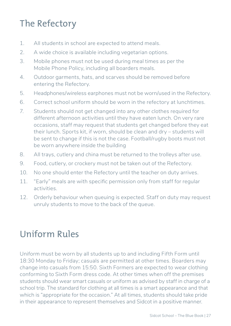### The Refectory

- 1. All students in school are expected to attend meals.
- 2. A wide choice is available including vegetarian options.
- 3. Mobile phones must not be used during meal times as per the Mobile Phone Policy, including all boarders meals.
- 4. Outdoor garments, hats, and scarves should be removed before entering the Refectory.
- 5. Headphones/wireless earphones must not be worn/used in the Refectory.
- 6. Correct school uniform should be worn in the refectory at lunchtimes.
- 7. Students should not get changed into any other clothes required for different afternoon activities until they have eaten lunch. On very rare occasions, staff may request that students get changed before they eat their lunch. Sports kit, if worn, should be clean and dry – students will be sent to change if this is not the case. Football/rugby boots must not be worn anywhere inside the building
- 8. All trays, cutlery and china must be returned to the trollevs after use.
- 9. Food, cutlery, or crockery must not be taken out of the Refectory.
- 10. No one should enter the Refectory until the teacher on duty arrives.
- 11. "Early" meals are with specific permission only from staff for regular activities.
- 12. Orderly behaviour when queuing is expected. Staff on duty may request unruly students to move to the back of the queue.

### Uniform Rules

Uniform must be worn by all students up to and including Fifth Form until 18:30 Monday to Friday; casuals are permitted at other times. Boarders may change into casuals from 15:50. Sixth Formers are expected to wear clothing conforming to Sixth Form dress code. At other times when off the premises students should wear smart casuals or uniform as advised by staff in charge of a school trip. The standard for clothing at all times is a smart appearance and that which is "appropriate for the occasion." At all times, students should take pride in their appearance to represent themselves and Sidcot in a positive manner.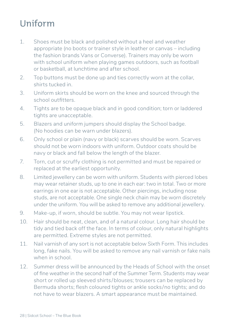### Uniform

- 1. Shoes must be black and polished without a heel and weather appropriate (no boots or trainer style in leather or canvas – including the fashion brands Vans or Converse). Trainers may only be worn with school uniform when playing games outdoors, such as football or basketball, at lunchtime and after school.
- 2. Top buttons must be done up and ties correctly worn at the collar shirts tucked in.
- 3. Uniform skirts should be worn on the knee and sourced through the school outfitters.
- 4. Tights are to be opaque black and in good condition; torn or laddered tights are unacceptable.
- 5. Blazers and uniform jumpers should display the School badge. (No hoodies can be warn under blazers).
- 6. Only school or plain (navy or black) scarves should be worn. Scarves should not be worn indoors with uniform. Outdoor coats should be navy or black and fall below the length of the blazer.
- 7. Torn, cut or scruffy clothing is not permitted and must be repaired or replaced at the earliest opportunity.
- 8. Limited jewellery can be worn with uniform. Students with pierced lobes may wear retainer studs, up to one in each ear: two in total. Two or more earrings in one ear is not acceptable. Other piercings, including nose studs, are not acceptable. One single neck chain may be worn discretely under the uniform. You will be asked to remove any additional jewellery.
- 9. Make-up, if worn, should be subtle. You may not wear lipstick.
- 10. Hair should be neat, clean, and of a natural colour. Long hair should be tidy and tied back off the face. In terms of colour, only natural highlights are permitted. Extreme styles are not permitted.
- 11. Nail varnish of any sort is not acceptable below Sixth Form. This includes long, fake nails. You will be asked to remove any nail varnish or fake nails when in school.
- 12. Summer dress will be announced by the Heads of School with the onset of fine weather in the second half of the Summer Term. Students may wear short or rolled up sleeved shirts/blouses; trousers can be replaced by Bermuda shorts; flesh coloured tights or ankle socks/no tights; and do not have to wear blazers. A smart appearance must be maintained.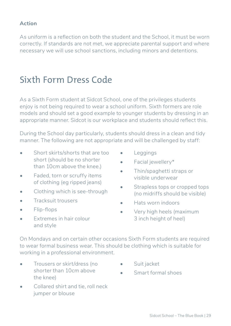#### **Action**

As uniform is a reflection on both the student and the School, it must be worn correctly. If standards are not met, we appreciate parental support and where necessary we will use school sanctions, including minors and detentions.

### Sixth Form Dress Code

As a Sixth Form student at Sidcot School, one of the privileges students enjoy is not being required to wear a school uniform. Sixth formers are role models and should set a good example to younger students by dressing in an appropriate manner. Sidcot is our workplace and students should reflect this.

During the School day particularly, students should dress in a clean and tidy manner. The following are not appropriate and will be challenged by staff:

- Short skirts/shorts that are too short (should be no shorter than 10cm above the knee.)
- Faded, torn or scruffy items of clothing (eg ripped jeans)
- Clothing which is see-through
- Tracksuit trousers
- Flip-flops
- Extremes in hair colour and style
- **Leggings**
- Facial jewellery\*
- Thin/spaghetti straps or visible underwear
- Strapless tops or cropped tops (no midriffs should be visible)
- Hats worn indoors
- Very high heels (maximum 3 inch height of heel)

On Mondays and on certain other occasions Sixth Form students are required to wear formal business wear. This should be clothing which is suitable for working in a professional environment.

- Trousers or skirt/dress (no shorter than 10cm above the knee)
- Collared shirt and tie, roll neck jumper or blouse
- Suit jacket
- Smart formal shoes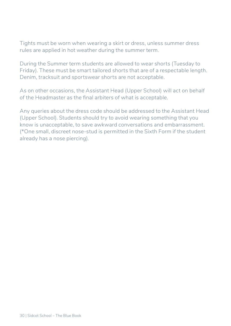Tights must be worn when wearing a skirt or dress, unless summer dress rules are applied in hot weather during the summer term.

During the Summer term students are allowed to wear shorts (Tuesday to Friday). These must be smart tailored shorts that are of a respectable length. Denim, tracksuit and sportswear shorts are not acceptable.

As on other occasions, the Assistant Head (Upper School) will act on behalf of the Headmaster as the final arbiters of what is acceptable.

Any queries about the dress code should be addressed to the Assistant Head (Upper School). Students should try to avoid wearing something that you know is unacceptable, to save awkward conversations and embarrassment. (\*One small, discreet nose-stud is permitted in the Sixth Form if the student already has a nose piercing).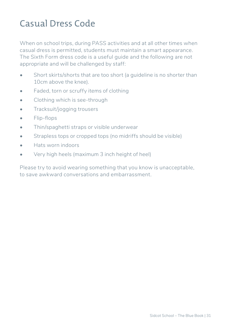### Casual Dress Code

When on school trips, during PASS activities and at all other times when casual dress is permitted, students must maintain a smart appearance. The Sixth Form dress code is a useful guide and the following are not appropriate and will be challenged by staff:

- Short skirts/shorts that are too short (a guideline is no shorter than 10cm above the knee).
- Faded, torn or scruffy items of clothing
- Clothing which is see-through
- Tracksuit/jogging trousers
- Flip-flops
- Thin/spaghetti straps or visible underwear
- Strapless tops or cropped tops (no midriffs should be visible)
- Hats worn indoors
- Very high heels (maximum 3 inch height of heel)

Please try to avoid wearing something that you know is unacceptable, to save awkward conversations and embarrassment.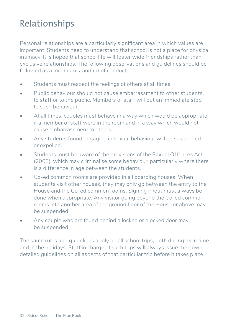### Relationships

Personal relationships are a particularly significant area in which values are important. Students need to understand that school is not a place for physical intimacy. It is hoped that school life will foster wide friendships rather than exclusive relationships. The following observations and guidelines should be followed as a minimum standard of conduct.

- Students must respect the feelings of others at all times.
- Public behaviour should not cause embarrassment to other students, to staff or to the public. Members of staff will put an immediate stop to such behaviour.
- At all times, couples must behave in a way which would be appropriate if a member of staff were in the room and in a way which would not cause embarrassment to others.
- Any students found engaging in sexual behaviour will be suspended or expelled.
- Students must be aware of the provisions of the Sexual Offences Act (2003), which may criminalise some behaviour, particularly where there is a difference in age between the students.
- Co-ed common rooms are provided in all boarding houses. When students visit other houses, they may only go between the entry to the House and the Co-ed common rooms. Signing in/out must always be done when appropriate. Any visitor going beyond the Co-ed common rooms into another area of the ground floor of the House or above may be suspended.
- Any couple who are found behind a locked or blocked door may be suspended.

The same rules and guidelines apply on all school trips, both during term time and in the holidays. Staff in charge of such trips will always issue their own detailed guidelines on all aspects of that particular trip before it takes place.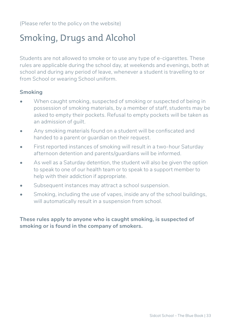### Smoking, Drugs and Alcohol

Students are not allowed to smoke or to use any type of e-cigarettes. These rules are applicable during the school day, at weekends and evenings, both at school and during any period of leave, whenever a student is travelling to or from School or wearing School uniform.

#### **Smoking**

- When caught smoking, suspected of smoking or suspected of being in possession of smoking materials, by a member of staff, students may be asked to empty their pockets. Refusal to empty pockets will be taken as an admission of quilt.
- Any smoking materials found on a student will be confiscated and handed to a parent or guardian on their request.
- First reported instances of smoking will result in a two-hour Saturday afternoon detention and parents/guardians will be informed.
- As well as a Saturday detention, the student will also be given the option to speak to one of our health team or to speak to a support member to help with their addiction if appropriate.
- Subsequent instances may attract a school suspension.
- Smoking, including the use of vapes, inside any of the school buildings, will automatically result in a suspension from school.

**These rules apply to anyone who is caught smoking, is suspected of smoking or is found in the company of smokers.**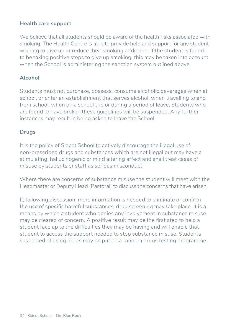#### **Health care support**

We believe that all students should be aware of the health risks associated with smoking. The Health Centre is able to provide help and support for any student wishing to give up or reduce their smoking addiction. If the student is found to be taking positive steps to give up smoking, this may be taken into account when the School is administering the sanction system outlined above.

#### **Alcohol**

Students must not purchase, possess, consume alcoholic beverages when at school, or enter an establishment that serves alcohol, when travelling to and from school, when on a school trip or during a period of leave. Students who are found to have broken these guidelines will be suspended. Any further instances may result in being asked to leave the School.

#### **Drugs**

It is the policy of Sidcot School to actively discourage the illegal use of non-prescribed drugs and substances which are not illegal but may have a stimulating, hallucinogenic or mind altering affect and shall treat cases of misuse by students or staff as serious misconduct.

Where there are concerns of substance misuse the student will meet with the Headmaster or Deputy Head (Pastoral) to discuss the concerns that have arisen.

If, following discussion, more information is needed to eliminate or confirm the use of specific harmful substances, drug screening may take place. It is a means by which a student who denies any involvement in substance misuse may be cleared of concern. A positive result may be the first step to help a student face up to the difficulties they may be having and will enable that student to access the support needed to stop substance misuse. Students suspected of using drugs may be put on a random drugs testing programme.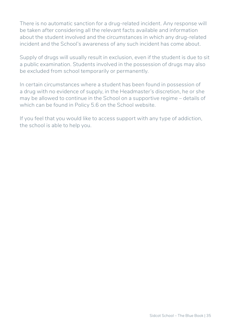There is no automatic sanction for a drug-related incident. Any response will be taken after considering all the relevant facts available and information about the student involved and the circumstances in which any drug-related incident and the School's awareness of any such incident has come about.

Supply of drugs will usually result in exclusion, even if the student is due to sit a public examination. Students involved in the possession of drugs may also be excluded from school temporarily or permanently.

In certain circumstances where a student has been found in possession of a drug with no evidence of supply, in the Headmaster's discretion, he or she may be allowed to continue in the School on a supportive regime – details of which can be found in Policy 5.6 on the School website.

If you feel that you would like to access support with any type of addiction, the school is able to help you.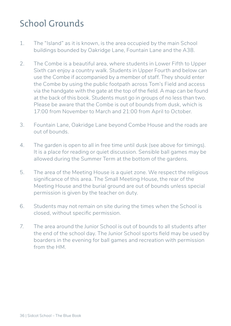### School Grounds

- 1. The "Island" as it is known, is the area occupied by the main School buildings bounded by Oakridge Lane, Fountain Lane and the A38.
- 2. The Combe is a beautiful area, where students in Lower Fifth to Upper Sixth can enjoy a country walk. Students in Upper Fourth and below can use the Combe if accompanied by a member of staff. They should enter the Combe by using the public footpath across Tom's Field and access via the handgate with the gate at the top of the field. A map can be found at the back of this book. Students must go in groups of no less than two. Please be aware that the Combe is out of bounds from dusk, which is 17:00 from November to March and 21:00 from April to October.
- 3. Fountain Lane, Oakridge Lane beyond Combe House and the roads are out of bounds.
- 4. The garden is open to all in free time until dusk (see above for timings). It is a place for reading or quiet discussion. Sensible ball games may be allowed during the Summer Term at the bottom of the gardens.
- 5. The area of the Meeting House is a quiet zone. We respect the religious significance of this area. The Small Meeting House, the rear of the Meeting House and the burial ground are out of bounds unless special permission is given by the teacher on duty.
- 6. Students may not remain on site during the times when the School is closed, without specific permission.
- 7. The area around the Junior School is out of bounds to all students after the end of the school day. The Junior School sports field may be used by boarders in the evening for ball games and recreation with permission from the HM.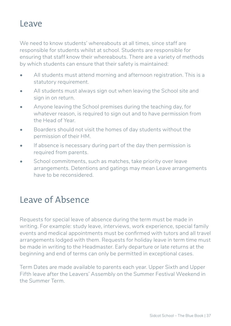### Leave

We need to know students' whereabouts at all times, since staff are responsible for students whilst at school. Students are responsible for ensuring that staff know their whereabouts. There are a variety of methods by which students can ensure that their safety is maintained:

- All students must attend morning and afternoon registration. This is a statutory requirement.
- All students must always sign out when leaving the School site and sign in on return.
- Anyone leaving the School premises during the teaching day, for whatever reason, is required to sign out and to have permission from the Head of Year.
- Boarders should not visit the homes of day students without the permission of their HM.
- If absence is necessary during part of the day then permission is required from parents.
- School commitments, such as matches, take priority over leave arrangements. Detentions and gatings may mean Leave arrangements have to be reconsidered.

### Leave of Absence

Requests for special leave of absence during the term must be made in writing. For example: study leave, interviews, work experience, special family events and medical appointments must be confirmed with tutors and all travel arrangements lodged with them. Requests for holiday leave in term time must be made in writing to the Headmaster. Early departure or late returns at the beginning and end of terms can only be permitted in exceptional cases.

Term Dates are made available to parents each year. Upper Sixth and Upper Fifth leave after the Leavers' Assembly on the Summer Festival Weekend in the Summer Term.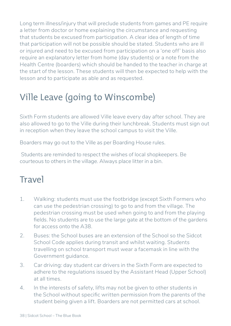Long term illness/injury that will preclude students from games and PE require a letter from doctor or home explaining the circumstance and requesting that students be excused from participation. A clear idea of length of time that participation will not be possible should be stated. Students who are ill or injured and need to be excused from participation on a 'one off' basis also require an explanatory letter from home (day students) or a note from the Health Centre (boarders) which should be handed to the teacher in charge at the start of the lesson. These students will then be expected to help with the lesson and to participate as able and as requested.

### Ville Leave (going to Winscombe)

Sixth Form students are allowed Ville leave every day after school. They are also allowed to go to the Ville during their lunchbreak. Students must sign out in reception when they leave the school campus to visit the Ville.

Boarders may go out to the Ville as per Boarding House rules.

 Students are reminded to respect the wishes of local shopkeepers. Be courteous to others in the village. Always place litter in a bin.

### Travel

- 1. Walking: students must use the footbridge (except Sixth Formers who can use the pedestrian crossing) to go to and from the village. The pedestrian crossing must be used when going to and from the playing fields. No students are to use the large gate at the bottom of the gardens for access onto the A38.
- 2. Buses: the School buses are an extension of the School so the Sidcot School Code applies during transit and whilst waiting. Students travelling on school transport must wear a facemask in line with the Government guidance.
- 3. Car driving: day student car drivers in the Sixth Form are expected to adhere to the regulations issued by the Assistant Head (Upper School) at all times.
- 4. In the interests of safety, lifts may not be given to other students in the School without specific written permission from the parents of the student being given a lift. Boarders are not permitted cars at school.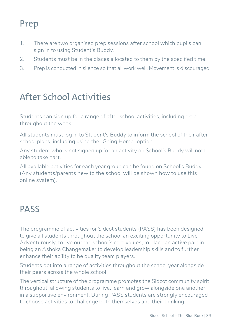### Prep

- 1. There are two organised prep sessions after school which pupils can sign in to using Student's Buddy.
- 2. Students must be in the places allocated to them by the specified time.
- 3. Prep is conducted in silence so that all work well. Movement is discouraged.

### After School Activities

Students can sign up for a range of after school activities, including prep throughout the week.

All students must log in to Student's Buddy to inform the school of their after school plans, including using the "Going Home" option.

Any student who is not signed up for an activity on School's Buddy will not be able to take part.

All available activities for each year group can be found on School's Buddy. (Any students/parents new to the school will be shown how to use this online system).

### PASS

The programme of activities for Sidcot students (PASS) has been designed to give all students throughout the school an exciting opportunity to Live Adventurously, to live out the school's core values, to place an active part in being an Ashoka Changemaker to develop leadership skills and to further enhance their ability to be quality team players.

Students opt into a range of activities throughout the school year alongside their peers across the whole school.

The vertical structure of the programme promotes the Sidcot community spirit throughout, allowing students to live, learn and grow alongside one another in a supportive environment. During PASS students are strongly encouraged to choose activities to challenge both themselves and their thinking.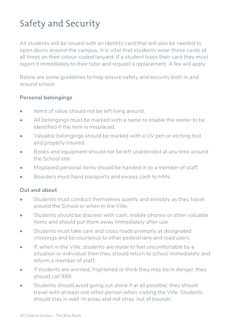### Safety and Security

All students will be issued with an identity card that will also be needed to open doors around the campus. It is vital that students wear these cards at all times on their colour-coded lanyard. If a student loses their card they must report it immediately to their tutor and request a replacement. A fee will apply.

Below are some guidelines to help ensure safety and security both in and around school.

#### **Personal belongings**

- Items of value should not be left lying around.
- All belongings must be marked with a name to enable the owner to be identified if the item is misplaced.
- Valuable belongings should be marked with a UV pen or etching tool and properly insured.
- Books and equipment should not be left unattended at any time around the School site.
- Misplaced personal items should be handed in to a member of staff.
- Boarders must hand passports and excess cash to HMs.

#### **Out and about**

- Students must conduct themselves quietly and sensibly as they travel around the School or when in the Ville.
- Students should be discreet with cash, mobile phones or other valuable items and should put them away immediately after use.
- Students must take care and cross roads promptly at designated crossings and be courteous to other pedestrians and road users.
- If, when in the Ville, students are made to feel uncomfortable by a situation or individual then they should return to school immediately and inform a member of staff.
- If students are worried, frightened or think they may be in danger, they should call 999.
- Students should avoid going out alone if at all possible; they should travel with at least one other person when visiting the Ville. Students should stay in well-lit areas and not stray 'out of bounds'.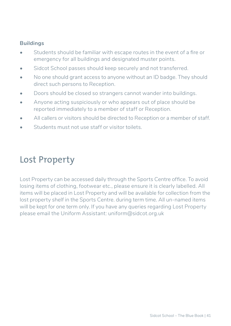#### **Buildings**

- Students should be familiar with escape routes in the event of a fire or emergency for all buildings and designated muster points.
- Sidcot School passes should keep securely and not transferred.
- No one should grant access to anyone without an ID badge. They should direct such persons to Reception.
- Doors should be closed so strangers cannot wander into buildings.
- Anyone acting suspiciously or who appears out of place should be reported immediately to a member of staff or Reception.
- All callers or visitors should be directed to Reception or a member of staff.
- Students must not use staff or visitor toilets.

### Lost Property

Lost Property can be accessed daily through the Sports Centre office. To avoid losing items of clothing, footwear etc., please ensure it is clearly labelled. All items will be placed in Lost Property and will be available for collection from the lost property shelf in the Sports Centre. during term time. All un-named items will be kept for one term only. If you have any queries regarding Lost Property please email the Uniform Assistant: [uniform@sidcot.org.uk](mailto:uniform@sidcot.org.uk)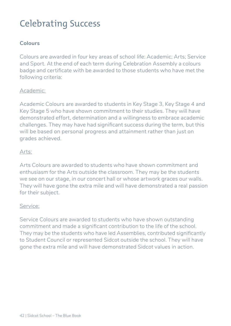### Celebrating Success

#### **Colours**

Colours are awarded in four key areas of school life: Academic; Arts; Service and Sport. At the end of each term during Celebration Assembly a colours badge and certificate with be awarded to those students who have met the following criteria:

#### Academic:

Academic Colours are awarded to students in Key Stage 3, Key Stage 4 and Key Stage 5 who have shown commitment to their studies. They will have demonstrated effort, determination and a willingness to embrace academic challenges. They may have had significant success during the term, but this will be based on personal progress and attainment rather than just on grades achieved.

#### Arts:

Arts Colours are awarded to students who have shown commitment and enthusiasm for the Arts outside the classroom. They may be the students we see on our stage, in our concert hall or whose artwork graces our walls. They will have gone the extra mile and will have demonstrated a real passion for their subject.

#### Service:

Service Colours are awarded to students who have shown outstanding commitment and made a significant contribution to the life of the school. They may be the students who have led Assemblies, contributed significantly to Student Council or represented Sidcot outside the school. They will have gone the extra mile and will have demonstrated Sidcot values in action.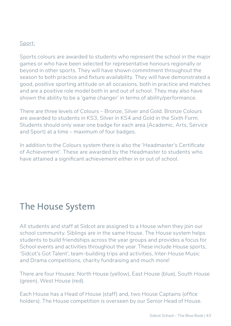#### Sport:

Sports colours are awarded to students who represent the school in the major games or who have been selected for representative honours regionally or beyond in other sports. They will have shown commitment throughout the season to both practice and fixture availability. They will have demonstrated a good, positive sporting attitude on all occasions, both in practice and matches and are a positive role model both in and out of school. They may also have shown the ability to be a 'game changer' in terms of ability/performance.

There are three levels of Colours – Bronze, Silver and Gold. Bronze Colours are awarded to students in KS3, Silver in KS4 and Gold in the Sixth Form. Students should only wear one badge for each area (Academic, Arts, Service and Sport) at a time – maximum of four badges.

In addition to the Colours system there is also the 'Headmaster's Certificate of Achievement'. These are awarded by the Headmaster to students who have attained a significant achievement either in or out of school.

### The House System

All students and staff at Sidcot are assigned to a House when they join our school community. Siblings are in the same House. The House system helps students to build friendships across the year groups and provides a focus for School events and activities throughout the year. These include House sports, 'Sidcot's Got Talent', team-building trips and activities, Inter-House Music and Drama competitions, charity fundraising and much more!

There are four Houses: North House (yellow), East House (blue), South House (green), West House (red).

Each House has a Head of House (staff) and, two House Captains (office holders). The House competition is overseen by our Senior Head of House.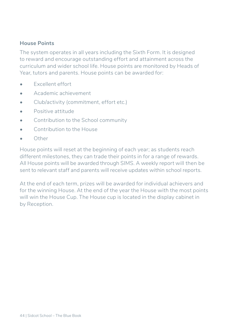#### **House Points**

The system operates in all years including the Sixth Form. It is designed to reward and encourage outstanding effort and attainment across the curriculum and wider school life. House points are monitored by Heads of Year, tutors and parents. House points can be awarded for:

- Excellent effort
- Academic achievement
- Club/activity (commitment, effort etc.)
- Positive attitude
- Contribution to the School community
- Contribution to the House
- Other

House points will reset at the beginning of each year; as students reach different milestones, they can trade their points in for a range of rewards. All House points will be awarded through SIMS. A weekly report will then be sent to relevant staff and parents will receive updates within school reports.

At the end of each term, prizes will be awarded for individual achievers and for the winning House. At the end of the year the House with the most points will win the House Cup. The House cup is located in the display cabinet in by Reception.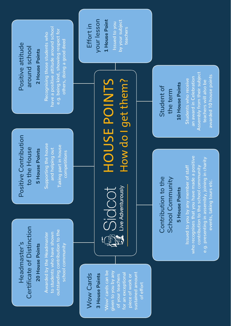## **Certificate of Distinction**  Certificate of Distinction Headmaster's **Headmaster's**  20 House Points **20 House Points**

outstanding contribution to the outstanding contribution to the Awarded by the Headmaster to students who have shown to students who have shown school community

### Positive Contribution **Positive Contribution**  Supporting the house to the House **5 House Points to the House 5 House Points**

Taking part in house Taking part in house and helping out competitions competitions

### **Positive attitude**  Positive attitude around school **around school** 2 House Points **2 House Points**

have a positive attitude around school have a positive attitude around school e.a. being kind, showing respect for e.g. being kind, showing respect for Recognising those students who Recognising those students who others, doing a good deed others, doing a good deed

### **Wow Cards** 3 House Points **Wow Cards 3 House Points**

'Wow' cards can be Wow' cards can be given to you by any given to you by any for an exceptional sustained amount sustained amount for an exceptional of your teachers of your teachers piece of work or of effort

 $\tilde{E}$  Sidcot

## **HOUSE POINTS** How do I get them? HOUSE POINTS How do I get them?

**Contribution to the**  Contribution to the School Community **School Community** 5 House Points **5 House Points**

Sidcot School – The Blue Book | 45

who recognises that you have made a positive e.g. presenting in assembly, joining in charity e.g. presenting in assembly, joining in charity Issued to you by any member of staff contribution to the school community contribution to the school community ssued to you by any member of staff events, taking tours etc. events, taking tours etc.

### **LO House Points 10 House Points** Student of **Student of the term**

Assembly from their subject Assembly from their subject awarded 10 house points an award in Celebration awarded 10 house points an award in Celebration Students who receive Students who receive teachers will also be teachers will also be

your lesson **LHouse Point your lesson 1 House Point** Issued to you Effort in **Effort in**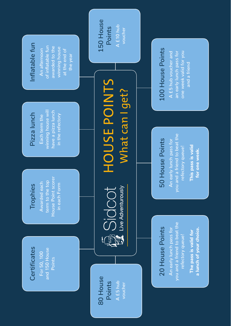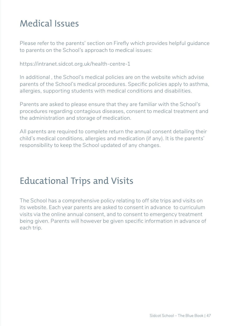### Medical Issues

Please refer to the parents' section on Firefly which provides helpful guidance to parents on the School's approach to medical issues:

https://intranet.sidcot.org.uk/health-centre-1

In additional , the School's medical policies are on the website which advise parents of the School's medical procedures. Specific policies apply to asthma, allergies, supporting students with medical conditions and disabilities.

Parents are asked to please ensure that they are familiar with the School's procedures regarding contagious diseases, consent to medical treatment and the administration and storage of medication.

All parents are required to complete return the annual consent detailing their child's medical conditions, allergies and medication (if any). It is the parents' responsibility to keep the School updated of any changes.

### Educational Trips and Visits

The School has a comprehensive policy relating to off site trips and visits on its website. Each year parents are asked to consent in advance to curriculum visits via the online annual consent, and to consent to emergency treatment being given. Parents will however be given specific information in advance of each trip.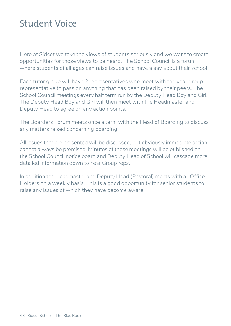### Student Voice

Here at Sidcot we take the views of students seriously and we want to create opportunities for those views to be heard. The School Council is a forum where students of all ages can raise issues and have a say about their school.

Each tutor group will have 2 representatives who meet with the year group representative to pass on anything that has been raised by their peers. The School Council meetings every half term run by the Deputy Head Boy and Girl. The Deputy Head Boy and Girl will then meet with the Headmaster and Deputy Head to agree on any action points.

The Boarders Forum meets once a term with the Head of Boarding to discuss any matters raised concerning boarding.

All issues that are presented will be discussed, but obviously immediate action cannot always be promised. Minutes of these meetings will be published on the School Council notice board and Deputy Head of School will cascade more detailed information down to Year Group reps.

In addition the Headmaster and Deputy Head (Pastoral) meets with all Office Holders on a weekly basis. This is a good opportunity for senior students to raise any issues of which they have become aware.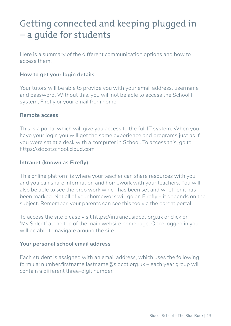### Getting connected and keeping plugged in – a guide for students

Here is a summary of the different communication options and how to access them.

#### **How to get your login details**

Your tutors will be able to provide you with your email address, username and password. Without this, you will not be able to access the School IT system, Firefly or your email from home.

#### **Remote access**

This is a portal which will give you access to the full IT system. When you have your login you will get the same experience and programs just as if you were sat at a desk with a computer in School. To access this, go to https://sidcotschool.cloud.com

#### **Intranet (known as Firefly)**

This online platform is where your teacher can share resources with you and you can share information and homework with your teachers. You will also be able to see the prep work which has been set and whether it has been marked. Not all of your homework will go on Firefly – it depends on the subject. Remember, your parents can see this too via the parent portal.

To access the site please visit https://intranet.sidcot.org.uk or click on 'My Sidcot' at the top of the main website homepage. Once logged in you will be able to navigate around the site.

#### **Your personal school email address**

Each student is assigned with an email address, which uses the following formula: [number.firstname.lastname@sidcot.org.uk –](mailto:number.firstname.lastname@sidcot.org.uk) each year group will contain a different three-digit number.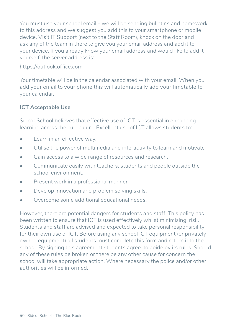You must use your school email – we will be sending bulletins and homework to this address and we suggest you add this to your smartphone or mobile device. Visit IT Support (next to the Staff Room), knock on the door and ask any of the team in there to give you your email address and add it to your device. If you already know your email address and would like to add it yourself, the server address is:

#### https://outlook.office.com

Your timetable will be in the calendar associated with your email. When you add your email to your phone this will automatically add your timetable to your calendar.

#### **ICT Acceptable Use**

Sidcot School believes that effective use of ICT is essential in enhancing learning across the curriculum. Excellent use of ICT allows students to:

- Learn in an effective way.
- Utilise the power of multimedia and interactivity to learn and motivate
- Gain access to a wide range of resources and research.
- Communicate easily with teachers, students and people outside the school environment.
- Present work in a professional manner.
- Develop innovation and problem solving skills.
- Overcome some additional educational needs.

However, there are potential dangers for students and staff. This policy has been written to ensure that ICT is used effectively whilst minimising risk. Students and staff are advised and expected to take personal responsibility for their own use of ICT. Before using any school ICT equipment (or privately owned equipment) all students must complete this form and return it to the school. By signing this agreement students agree to abide by its rules. Should any of these rules be broken or there be any other cause for concern the school will take appropriate action. Where necessary the police and/or other authorities will be informed.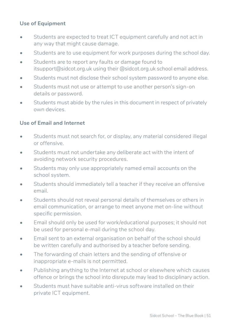#### **Use of Equipment**

- Students are expected to treat ICT equipment carefully and not act in any way that might cause damage.
- Students are to use equipment for work purposes during the school day.
- Students are to report any faults or damage found to itsupport@sidcot.org.uk using their @sidcot.org.uk school email address.
- Students must not disclose their school system password to anyone else.
- Students must not use or attempt to use another person's sign-on details or password.
- Students must abide by the rules in this document in respect of privately own devices.

#### **Use of Email and Internet**

- Students must not search for, or display, any material considered illegal or offensive.
- Students must not undertake any deliberate act with the intent of avoiding network security procedures.
- Students may only use appropriately named email accounts on the school system.
- Students should immediately tell a teacher if they receive an offensive email.
- Students should not reveal personal details of themselves or others in email communication, or arrange to meet anyone met on-line without specific permission.
- Email should only be used for work/educational purposes; it should not be used for personal e-mail during the school day.
- Email sent to an external organisation on behalf of the school should be written carefully and authorised by a teacher before sending.
- The forwarding of chain letters and the sending of offensive or inappropriate e-mails is not permitted.
- Publishing anything to the Internet at school or elsewhere which causes offence or brings the school into disrepute may lead to disciplinary action.
- Students must have suitable anti-virus software installed on their private ICT equipment.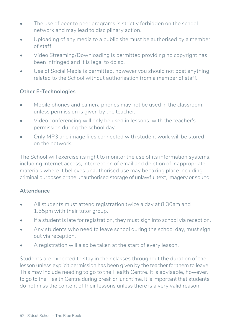- The use of peer to peer programs is strictly forbidden on the school network and may lead to disciplinary action.
- Uploading of any media to a public site must be authorised by a member of staff.
- Video Streaming/Downloading is permitted providing no copyright has been infringed and it is legal to do so.
- Use of Social Media is permitted, however you should not post anything related to the School without authorisation from a member of staff.

#### **Other E-Technologies**

- Mobile phones and camera phones may not be used in the classroom, unless permission is given by the teacher.
- Video conferencing will only be used in lessons, with the teacher's permission during the school day.
- Only MP3 and image files connected with student work will be stored on the network.

The School will exercise its right to monitor the use of its information systems, including Internet access, interception of email and deletion of inappropriate materials where it believes unauthorised use may be taking place including criminal purposes or the unauthorised storage of unlawful text, imagery or sound.

#### **Attendance**

- All students must attend registration twice a day at 8.30am and 1.55pm with their tutor group.
- If a student is late for registration, they must sign into school via reception.
- Any students who need to leave school during the school day, must sign out via reception.
- A registration will also be taken at the start of every lesson.

Students are expected to stay in their classes throughout the duration of the lesson unless explicit permission has been given by the teacher for them to leave. This may include needing to go to the Health Centre. It is advisable, however, to go to the Health Centre during break or lunchtime. It is important that students do not miss the content of their lessons unless there is a very valid reason.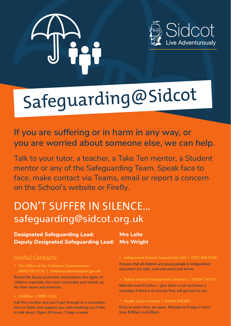



# Safeguarding@Sidcot

**If you are suffering or in harm in any way, or you are worried about someone else, we can help.**

Talk to your tutor, a teacher, a Take Ten mentor, a Student mentor or any of the Safeguarding Team. Speak face to face, make contact via Teams, email or report a concern on the School's website or Firefly.

### DON'T SUFFER IN SILENCE… safeguarding@sidcot.org.uk

**Designated Safeguarding Lead: Mrs Leite Deputy Designated Safeguarding Lead: Mrs Wright** 

### Useful Contacts

Rachel De Souza promotes and protects the rights of children especially the more vulnerable and stands up for their views and interests.

Call this number and you'll get through to a counsellor, here to listen and support you with anything you'd like to talk about. Open 24 hours, 7 days a week.

Ensures that all children and young people in independent education are safe, well-educated and thrive.

Malcolm and Di Litten – give them a call and leave a message; if there is no answer they will get back to you.

Sidcot School – The Blue Book | 53 Drop in when they are open, Monday to Friday in term time 8.00am to 6.00pm.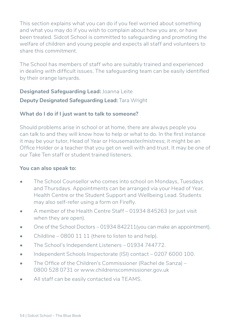This section explains what you can do if you feel worried about something and what you may do if you wish to complain about how you are, or have been treated. Sidcot School is committed to safeguarding and promoting the welfare of children and young people and expects all staff and volunteers to share this commitment.

The School has members of staff who are suitably trained and experienced in dealing with difficult issues. The safeguarding team can be easily identified by their orange lanyards.

### **Designated Safeguarding Lead:** Joanna Leite

#### **Deputy Designated Safeguarding Lead:** Tara Wright

#### **What do I do if I just want to talk to someone?**

Should problems arise in school or at home, there are always people you can talk to and they will know how to help or what to do. In the first instance it may be your tutor, Head of Year or Housemaster/mistress; it might be an Office Holder or a teacher that you get on well with and trust. It may be one of our Take Ten staff or student trained listeners.

#### **You can also speak to:**

- The School Counsellor who comes into school on Mondays, Tuesdays and Thursdays. Appointments can be arranged via your Head of Year, Health Centre or the Student Support and Wellbeing Lead. Students may also self-refer using a form on Firefly.
- A member of the Health Centre Staff 01934 845263 (or just visit when they are open).
- One of the School Doctors 01934 842211(you can make an appointment).
- Childline 0800 11 11 (there to listen to and help).
- The School's Independent Listeners 01934 744772.
- Independent Schools Inspectorate (ISI) contact 0207 6000 100.
- The Office of the Children's Commissioner (Rachel de Sanza) 0800 528 0731 or www.childrenscommissioner.gov.uk
- All staff can be easily contacted via TEAMS.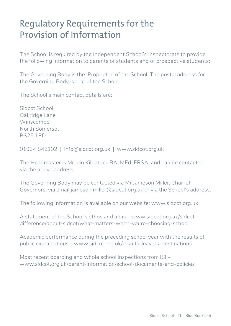### Regulatory Requirements for the Provision of Information

The School is required by the Independent School's Inspectorate to provide the following information to parents of students and of prospective students:

The Governing Body is the 'Proprietor' of the School. The postal address for the Governing Body is that of the School.

The School's main contact details are:

Sidcot School Oakridge Lane Winscombe North Somerset BS25 1PD

01934 843102 | [info@sidcot.org.uk](mailto:info@sidcot.org.uk) | [www.sidcot.org.uk](http://www.sidcot.org.uk/)

The Headmaster is Mr Iain Kilpatrick BA, MEd, FRSA, and can be contacted via the above address.

The Governing Body may be contacted via Mr Jameson Miller, Chair of Governors, via email jameson.mille[r@sidcot.org.uk](mailto:rosemary.carr@sidcot.org.uk) or via the School's address.

The following information is available on our website: [www.sidcot.org.uk](http://www.sidcot.org.uk/)

A statement of the School's ethos and aims – [www.sidcot.org.uk/sidcot](https://www.sidcot.org.uk/sidcot-difference/about-sidcot/what-matters-when-youre-choosing-school)[difference/about-sidcot/what-matters-when-youre-choosing-school](https://www.sidcot.org.uk/sidcot-difference/about-sidcot/what-matters-when-youre-choosing-school)

Academic performance during the preceding school year with the results of public examinations – [www.sidcot.org.uk/results-leavers-destinations](https://www.sidcot.org.uk/results-leavers-destinations)

Most recent boarding and whole school inspections from ISI – [www.sidcot.org.uk/parent-information/school-documents-and-policies](https://www.sidcot.org.uk/policies)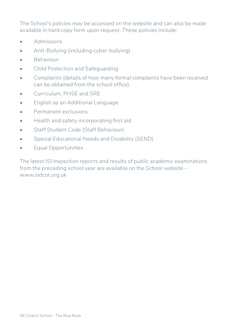The School's policies may be accessed on the website and can also be made available in hard copy form upon request. These policies include:

- Admissions
- Anti-Bullying (including cyber-bullying)
- Behaviour
- Child Protection and Safeguarding
- Complaints (details of how many formal complaints have been received can be obtained from the school office).
- Curriculum, PHSF and SRF
- English as an Additional Language
- Permanent exclusions
- Health and safety incorporating first aid
- Staff Student Code (Staff Behaviour)
- Special Educational Needs and Disability (SEND)
- Equal Opportunities

The latest ISI inspection reports and results of public academic examinations from the preceding school year are available on the School website – www.sidcot.org.uk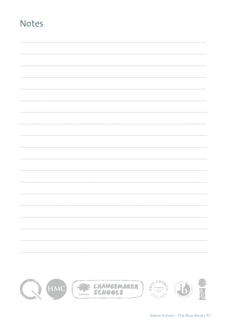### **Notes**

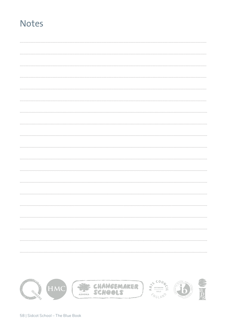### **Notes**

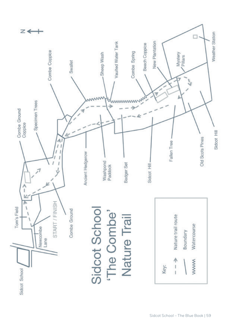